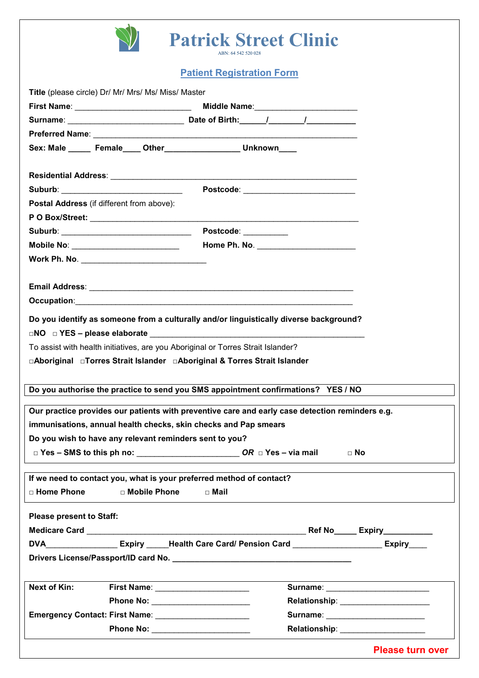

## **Patrick Street Clinic**

**Patient Registration Form**

| Title (please circle) Dr/ Mr/ Mrs/ Ms/ Miss/ Master                                             |                                                                                                    |                         |  |
|-------------------------------------------------------------------------------------------------|----------------------------------------------------------------------------------------------------|-------------------------|--|
|                                                                                                 |                                                                                                    |                         |  |
|                                                                                                 |                                                                                                    |                         |  |
|                                                                                                 |                                                                                                    |                         |  |
| Sex: Male ______ Female____ Other___________________ Unknown____                                |                                                                                                    |                         |  |
|                                                                                                 |                                                                                                    |                         |  |
| Suburb: __________________________________                                                      |                                                                                                    |                         |  |
| Postal Address (if different from above):                                                       |                                                                                                    |                         |  |
|                                                                                                 |                                                                                                    |                         |  |
| Suburb: __________________________________                                                      | Postcode: __________                                                                               |                         |  |
| Mobile No: __________________________                                                           |                                                                                                    |                         |  |
|                                                                                                 |                                                                                                    |                         |  |
|                                                                                                 |                                                                                                    |                         |  |
|                                                                                                 |                                                                                                    |                         |  |
|                                                                                                 |                                                                                                    |                         |  |
| Do you identify as someone from a culturally and/or linguistically diverse background?          |                                                                                                    |                         |  |
|                                                                                                 |                                                                                                    |                         |  |
| To assist with health initiatives, are you Aboriginal or Torres Strait Islander?                |                                                                                                    |                         |  |
| □Aboriginal □Torres Strait Islander □Aboriginal & Torres Strait Islander                        |                                                                                                    |                         |  |
|                                                                                                 |                                                                                                    |                         |  |
| Do you authorise the practice to send you SMS appointment confirmations? YES / NO               |                                                                                                    |                         |  |
|                                                                                                 |                                                                                                    |                         |  |
| Our practice provides our patients with preventive care and early case detection reminders e.g. |                                                                                                    |                         |  |
| immunisations, annual health checks, skin checks and Pap smears                                 |                                                                                                    |                         |  |
| Do you wish to have any relevant reminders sent to you?                                         |                                                                                                    |                         |  |
|                                                                                                 | $\Box$ Yes – SMS to this ph no: $OR \Box$ Yes – via mail<br>$\Box$ No                              |                         |  |
| If we need to contact you, what is your preferred method of contact?                            |                                                                                                    |                         |  |
| □ Home Phone<br>□ Mobile Phone                                                                  | □ Mail                                                                                             |                         |  |
|                                                                                                 |                                                                                                    |                         |  |
| <b>Please present to Staff:</b>                                                                 |                                                                                                    |                         |  |
|                                                                                                 |                                                                                                    |                         |  |
|                                                                                                 | DVA___________________Expiry _____Health Care Card/ Pension Card ______________________Expiry_____ |                         |  |
|                                                                                                 |                                                                                                    |                         |  |
|                                                                                                 |                                                                                                    |                         |  |
| <b>Next of Kin:</b>                                                                             |                                                                                                    |                         |  |
|                                                                                                 | Phone No: _________________________                                                                |                         |  |
|                                                                                                 |                                                                                                    |                         |  |
|                                                                                                 | Relationship: _______________________                                                              |                         |  |
|                                                                                                 |                                                                                                    | <b>Please turn over</b> |  |